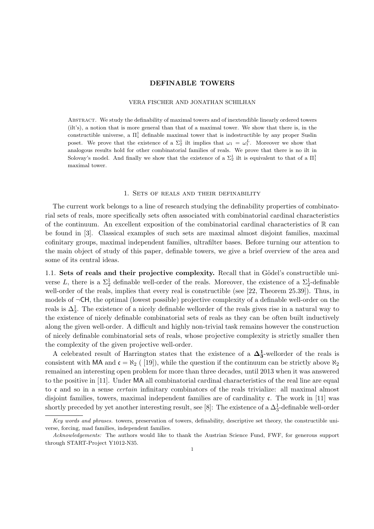### VERA FISCHER AND JONATHAN SCHILHAN

Abstract. We study the definability of maximal towers and of inextendible linearly ordered towers (ilt's), a notion that is more general than that of a maximal tower. We show that there is, in the constructible universe, a  $\Pi_1^1$  definable maximal tower that is indestructible by any proper Suslin poset. We prove that the existence of a  $\Sigma_2^1$  ilt implies that  $\omega_1 = \omega_1^L$ . Moreover we show that analogous results hold for other combinatorial families of reals. We prove that there is no ilt in Solovay's model. And finally we show that the existence of a  $\Sigma^1_2$  ilt is equivalent to that of a  $\Pi^1_1$ maximal tower.

### 1. Sets of reals and their definability

The current work belongs to a line of research studying the definability properties of combinatorial sets of reals, more specifically sets often associated with combinatorial cardinal characteristics of the continuum. An excellent exposition of the combinatorial cardinal characteristics of  $\mathbb R$  can be found in [3]. Classical examples of such sets are maximal almost disjoint families, maximal cofinitary groups, maximal independent families, ultrafilter bases. Before turning our attention to the main object of study of this paper, definable towers, we give a brief overview of the area and some of its central ideas.

1.1. Sets of reals and their projective complexity. Recall that in Gödel's constructible universe L, there is a  $\Sigma_2^1$  definable well-order of the reals. Moreover, the existence of a  $\Sigma_2^1$ -definable well-order of the reals, implies that every real is constructible (see [22, Theorem 25.39]). Thus, in models of *¬*CH, the optimal (lowest possible) projective complexity of a definable well-order on the reals is  $\Delta_3^1$ . The existence of a nicely definable wellorder of the reals gives rise in a natural way to the existence of nicely definable combinatorial sets of reals as they can be often built inductively along the given well-order. A difficult and highly non-trivial task remains however the construction of nicely definable combinatorial sets of reals, whose projective complexity is strictly smaller then the complexity of the given projective well-order.

A celebrated result of Harrington states that the existence of a  $\Delta_3^1$ -wellorder of the reals is consistent with MA and  $\mathfrak{c} = \aleph_2$  ([19]), while the question if the continuum can be strictly above  $\aleph_2$ remained an interesting open problem for more than three decades, until 2013 when it was answered to the positive in [11]. Under MA all combinatorial cardinal characteristics of the real line are equal to c and so in a sense *certain* infinitary combinators of the reals trivialize: all maximal almost disjoint families, towers, maximal independent families are of cardinality  $\mathfrak{c}$ . The work in [11] was shortly preceded by yet another interesting result, see [8]: The existence of a  $\Delta_3^1$ -definable well-order

*Key words and phrases.* towers, preservation of towers, definability, descriptive set theory, the constructible universe, forcing, mad families, independent families.

*Acknowledgements:* The authors would like to thank the Austrian Science Fund, FWF, for generous support through START-Project Y1012-N35.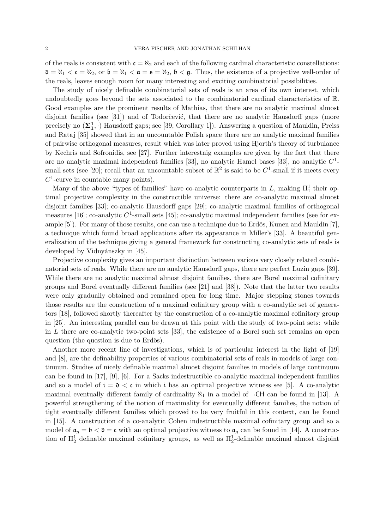of the reals is consistent with  $\mathfrak{c} = \aleph_2$  and each of the following cardinal characteristic constellations:  $\mathfrak{d} = \aleph_1 < \mathfrak{c} = \aleph_2$ , or  $\mathfrak{b} = \aleph_1 < \mathfrak{a} = \mathfrak{s} = \aleph_2$ ,  $\mathfrak{b} < \mathfrak{g}$ . Thus, the existence of a projective well-order of the reals, leaves enough room for many interesting and exciting combinatorial possibilities.

The study of nicely definable combinatorial sets of reals is an area of its own interest, which undoubtedly goes beyond the sets associated to the combinatorial cardinal characteristics of R. Good examples are the prominent results of Mathias, that there are no analytic maximal almost disjoint families (see  $[31]$ ) and of Todorčević, that there are no analytic Hausdorff gaps (more precisely no  $(\Sigma_1^1, \cdot)$  Hausdorff gaps; see [39, Corollary 1]). Answering a question of Mauldin, Preiss and Rataj [35] showed that in an uncountable Polish space there are no analytic maximal families of pairwise orthogonal measures, result which was later proved using Hjorth's theory of turbulance by Kechris and Sofronidis, see [27]. Further interestnig examples are given by the fact that there are no analytic maximal independent families [33], no analytic Hamel bases [33], no analytic *C*1 small sets (see [20]; recall that an uncountable subset of  $\mathbb{R}^2$  is said to be  $C^1$ -small if it meets every *C*1-curve in countable many points).

Many of the above "types of families" have co-analytic counterparts in  $L$ , making  $\Pi_1^1$  their optimal projective complexity in the constructible universe: there are co-analytic maximal almost disjoint families [33]; co-analytic Hausdorff gaps [29]; co-analytic maximal families of orthogonal measures [16]; co-analytic  $C^1$ -small sets [45]; co-analytic maximal independent families (see for example  $[5]$ ). For many of those results, one can use a technique due to Erdös, Kunen and Mauldin  $[7]$ , a technique which found broad applications after its appearance in Miller's [33]. A beautiful generalization of the technique giving a general framework for constructing co-analytic sets of reals is developed by Vidnyánszky in [45].

Projective complexity gives an important distinction between various very closely related combinatorial sets of reals. While there are no analytic Hausdorff gaps, there are perfect Luzin gaps [39]. While there are no analytic maximal almost disjoint families, there are Borel maximal cofinitary groups and Borel eventually different families (see [21] and [38]). Note that the latter two results were only gradually obtained and remained open for long time. Major stepping stones towards those results are the construction of a maximal cofinitary group with a co-analytic set of generators [18], followed shortly thereafter by the construction of a co-analytic maximal cofinitary group in [25]. An interesting parallel can be drawn at this point with the study of two-point sets: while in *L* there are co-analytic two-point sets [33], the existence of a Borel such set remains an open question (the question is due to Erdös).

Another more recent line of investigations, which is of particular interest in the light of [19] and [8], are the definability properties of various combinatorial sets of reals in models of large continuum. Studies of nicely definable maximal almost disjoint families in models of large continuum can be found in [17], [9], [6]. For a Sacks indestructible co-analytic maximal independent families and so a model of  $i = \mathfrak{d} < \mathfrak{c}$  in which i has an optimal projective witness see [5]. A co-analytic maximal eventually different family of cardinality  $\aleph_1$  in a model of  $\neg$ **CH** can be found in [13]. A powerful strengthening of the notion of maximality for eventually different families, the notion of tight eventually different families which proved to be very fruitful in this context, can be found in [15]. A construction of a co-analytic Cohen indestructible maximal cofinitary group and so a model of  $a_g = b < \mathfrak{d} = \mathfrak{c}$  with an optimal projective witness to  $a_g$  can be found in [14]. A construction of  $\Pi_2^1$  definable maximal cofinitary groups, as well as  $\Pi_2^1$ -definable maximal almost disjoint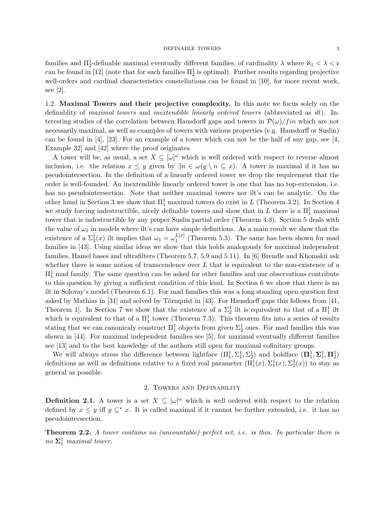families and  $\Pi_2^1$ -definable maximal eventually different families, of cardinality  $\lambda$  where  $\aleph_1 < \lambda < c$ can be found in [12] (note that for such families  $\Pi_2^1$  is optimal). Further results regarding projective well-orders and cardinal characteristics constellations can be found in [10], for more recent work, see [2].

1.2. Maximal Towers and their projective complexity. In this note we focus solely on the definablity of *maximal towers* and *inextendible linearly ordered towers* (abbreviated as *ilt*). Interesting studies of the correlation between Hausdorff gaps and towers in  $\mathcal{P}(\omega)/fin$  which are not necessarily maximal, as well as examples of towers with various properties (e.g. Hausdorff or Suslin) can be found in [4], [23]. For an example of a tower which can not be the half of any gap, see [4, Example 32] and [42] where the proof originates.

A tower will be, as usual, a set  $X \subseteq [\omega]^\omega$  which is well ordered with respect to reverse almost inclusion, i.e. the relation  $x \leq y$  given by  $\exists n \in \omega(y \setminus n \subseteq x)$ . A tower is maximal if it has no pseudointersection. In the definition of a linearly ordered tower we drop the requirement that the order is well-founded. An inextendible linearly ordered tower is one that has no top-extension, i.e. has no pseudointersection. Note that neither maximal towers nor ilt's can be analytic. On the other hand in Section 3 we show that  $\Pi_1^1$  maximal towers do exist in *L* (Theorem 3.2). In Section 4 we study forcing indestructible, nicely definable towers and show that in  $L$  there is a  $\Pi_1^1$  maximal tower that is indestructible by any proper Suslin partial order (Theorem 4.3). Section 5 deals with the value of  $\omega_1$  in models where ilt's can have simple definitions. As a main result we show that the existence of a  $\Sigma_2^1(x)$  ilt implies that  $\omega_1 = \omega_1^{L[x]}$  (Theorem 5.3). The same has been shown for mad families in [43]. Using similar ideas we show that this holds analogously for maximal independent families, Hamel bases and ultrafilters (Theorem 5.7, 5.9 and 5.11). In [6] Brendle and Khomskii ask whether there is some notion of transcendence over L that is equivalent to the non-existence of a  $\Pi_1^1$  mad family. The same question can be asked for other families and our observations contribute to this question by giving a sufficient condition of this kind. In Section 6 we show that there is no ilt in Solovay's model (Theorem 6.1). For mad families this was a long standing open question first asked by Mathias in [31] and solved by Törnquist in [43]. For Hausdorff gaps this follows from [41, Theorem 1]. In Section 7 we show that the existence of a  $\Sigma^1_2$  ilt is equivalent to that of a  $\Pi^1_1$  ilt which is equivalent to that of a  $\Pi_1^1$  tower (Theorem 7.3). This theorem fits into a series of results stating that we can canonicaly construct  $\Pi_1^1$  objects from given  $\Sigma_2^1$  ones. For mad families this was shown in  $[44]$ . For maximal independent families see  $[5]$ , for maximal eventually different families see [13] and to the best knowledge of the authors still open for maximal cofinitary groups.

We will always stress the difference between lightface  $(\Pi_1^1, \Sigma_1^1, \Sigma_2^1)$  and boldface  $(\Pi_1^1, \Sigma_1^1, \Pi_2^1)$ definitions as well as definitions relative to a fixed real parameter  $(\Pi_1^1(x), \Sigma_1^1(x), \Sigma_2^1(x))$  to stay as general as possible.

## 2. Towers and Definability

**Definition 2.1.** A tower is a set  $X \subseteq [\omega]^\omega$  which is well ordered with respect to the relation defined by  $x \leq y$  iff  $y \subseteq^* x$ . It is called maximal if it cannot be further extended, i.e. it has no pseudointersection.

Theorem 2.2. *A tower contains no (uncountable) perfect set, i.e. is thin. In particular there is no*  $\Sigma_1^1$  *maximal tower.*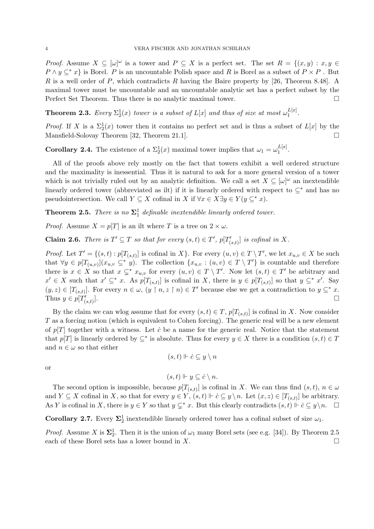*Proof.* Assume  $X \subseteq [\omega]^\omega$  is a tower and  $P \subseteq X$  is a perfect set. The set  $R = \{(x, y) : x, y \in X\}$  $P \wedge y \subseteq^* x$  is Borel. *P* is an uncountable Polish space and *R* is Borel as a subset of  $P \times P$ . But *R* is a well order of *P*, which contradicts *R* having the Baire property by [26, Theorem 8.48]. A maximal tower must be uncountable and an uncountable analytic set has a perfect subset by the Perfect Set Theorem. Thus there is no analytic maximal tower.  $\Box$ 

**Theorem 2.3.** Every  $\Sigma_2^1(x)$  tower is a subset of  $L[x]$  and thus of size at most  $\omega_1^{L[x]}$ .

*Proof.* If *X* is a  $\Sigma_2^1(x)$  tower then it contains no perfect set and is thus a subset of  $L[x]$  by the Mansfield-Solovay Theorem [32, Theorem 21.1].  $\Box$ 

**Corollary 2.4.** The existence of a  $\Sigma_2^1(x)$  maximal tower implies that  $\omega_1 = \omega_1^{L[x]}$ .

All of the proofs above rely mostly on the fact that towers exhibit a well ordered structure and the maximality is inessential. Thus it is natural to ask for a more general version of a tower which is not trivially ruled out by an analytic definition. We call a set  $X \subseteq [\omega]^\omega$  an inextendible linearly ordered tower (abbreviated as ilt) if it is linearly ordered with respect to  $\subset^*$  and has no pseudointersection. We call  $Y \subseteq X$  cofinal in  $X$  if  $\forall x \in X \exists y \in Y (y \subseteq^* x)$ .

**Theorem 2.5.** *There is no*  $\Sigma_1^1$  *definable inextendible linearly ordered tower.* 

*Proof.* Assume  $X = p[T]$  is an ilt where *T* is a tree on  $2 \times \omega$ .

**Claim 2.6.** *There is*  $T' \subseteq T$  *so that for every*  $(s,t) \in T'$ ,  $p[T'_{(s,t)}]$  *is cofinal in*  $X$ *.* 

*Proof.* Let  $T' = \{(s, t) : p[T_{(s,t)}] \text{ is cofinal in } X\}$ . For every  $(u, v) \in T \setminus T'$ , we let  $x_{u,v} \in X$  be such that  $\forall y \in p[T_{(u,v)}](x_{u,v} \subseteq^* y)$ . The collection  $\{x_{u,v} : (u,v) \in T \setminus T'\}$  is countable and therefore there is  $x \in X$  so that  $x \subsetneq^* x_{u,v}$  for every  $(u, v) \in T \setminus T'$ . Now let  $(s, t) \in T'$  be arbitrary and  $x' \in X$  such that  $x' \subseteq^* x$ . As  $p[T_{(s,t)}]$  is cofinal in *X*, there is  $y \in p[T_{(s,t)}]$  so that  $y \subseteq^* x'$ . Say  $(y, z) \in [T_{(s,t)}].$  For every  $n \in \omega$ ,  $(y \restriction n, z \restriction n) \in T'$  because else we get a contradiction to  $y \subseteq^* x$ .<br>Thus  $y \in p[T'_{(s,t)}].$ Thus  $y \in p[T'_{(s,t)}].$  $\binom{d}{(s,t)}$ .

By the claim we can wlog assume that for every  $(s, t) \in T$ ,  $p[T_{(s,t)}]$  is cofinal in *X*. Now consider *T* as a forcing notion (which is equivalent to Cohen forcing). The generic real will be a new element of  $p[T]$  together with a witness. Let  $\dot{c}$  be a name for the generic real. Notice that the statement that  $p[T]$  is linearly ordered by  $\subseteq^*$  is absolute. Thus for every  $y \in X$  there is a condition  $(s, t) \in T$ and  $n \in \omega$  so that either

$$
(s,t)\Vdash\dot{c}\subseteq y\setminus n
$$

or

$$
(s,t)\Vdash y\subseteq\dot{c}\setminus n.
$$

The second option is impossible, because  $p[T_{(s,t)}]$  is cofinal in *X*. We can thus find  $(s,t)$ ,  $n \in \omega$ and  $Y \subseteq X$  cofinal in X, so that for every  $y \in Y$ ,  $(s, t) \Vdash \dot{c} \subseteq y \setminus n$ . Let  $(x, z) \in [T_{(s,t)}]$  be arbitrary. As *Y* is cofinal in *X*, there is  $y \in Y$  so that  $y \subsetneq x$ . But this clearly contradicts  $(s, t) \Vdash \dot{c} \subseteq y \setminus n$ .  $\Box$ 

**Corollary 2.7.** Every  $\Sigma_2^1$  inextendible linearly ordered tower has a cofinal subset of size  $\omega_1$ .

*Proof.* Assume *X* is  $\Sigma_2^1$ . Then it is the union of  $\omega_1$  many Borel sets (see e.g. [34]). By Theorem 2.5 each of these Borel sets has a lower bound in  $X$ .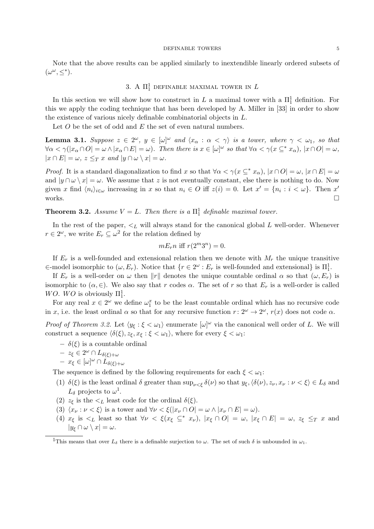Note that the above results can be applied similarly to inextendible linearly ordered subsets of  $(\omega^{\omega}, \leq^*)$ .

# 3. A  $\Pi^1_1$  definable maximal tower in  $L$

In this section we will show how to construct in *L* a maximal tower with a  $\Pi_1^1$  definition. For this we apply the coding technique that has been developed by A. Miller in [33] in order to show the existence of various nicely definable combinatorial objects in *L*.

Let *O* be the set of odd and *E* the set of even natural numbers.

**Lemma 3.1.** Suppose  $z \in 2^{\omega}$ ,  $y \in [\omega]^{\omega}$  and  $\langle x_{\alpha} : \alpha < \gamma \rangle$  is a tower, where  $\gamma < \omega_1$ , so that  $\forall \alpha < \gamma(|x_{\alpha} \cap O| = \omega \wedge |x_{\alpha} \cap E| = \omega).$  Then there is  $x \in [\omega]^{\omega}$  so that  $\forall \alpha < \gamma(x \subseteq^* x_{\alpha}), |x \cap O| = \omega,$  $|x \cap E| = \omega$ ,  $z \leq_T x$  and  $|y \cap \omega \setminus x| = \omega$ .

*Proof.* It is a standard diagonalization to find *x* so that  $\forall \alpha < \gamma(x \subseteq^* x_\alpha)$ ,  $|x \cap O| = \omega$ ,  $|x \cap E| = \omega$ and  $|y \cap \omega \setminus x| = \omega$ . We assume that *z* is not eventually constant, else there is nothing to do. Now given *x* find  $\langle n_i \rangle_{i \in \omega}$  increasing in *x* so that  $n_i \in O$  iff  $z(i) = 0$ . Let  $x' = \{n_i : i < \omega\}$ . Then  $x'$  works. works.  $\Box$ 

# **Theorem 3.2.** *Assume*  $V = L$ *. Then there is a*  $\Pi_1^1$  *definable maximal tower.*

In the rest of the paper,  $\lt_L$  will always stand for the canonical global *L* well-order. Whenever  $r \in 2^\omega$ , we write  $E_r \subseteq \omega^2$  for the relation defined by

$$
mE_r n \text{ iff } r(2^m 3^n) = 0.
$$

If  $E_r$  is a well-founded and extensional relation then we denote with  $M_r$  the unique transitive  $\in$ -model isomorphic to  $(\omega, E_r)$ . Notice that  $\{r \in 2^{\omega} : E_r$  is well-founded and extensional} is  $\Pi_1^1$ .

If  $E_r$  is a well-order on  $\omega$  then  $||r||$  denotes the unique countable ordinal  $\alpha$  so that  $(\omega, E_r)$  is isomorphic to  $(\alpha, \in)$ . We also say that *r* codes  $\alpha$ . The set of *r* so that  $E_r$  is a well-order is called *WO. WO* is obviously  $\Pi_1^1$ .

For any real  $x \in 2^{\omega}$  we define  $\omega_1^x$  to be the least countable ordinal which has no recursive code in *x*, i.e. the least ordinal  $\alpha$  so that for any recursive function  $r: 2^{\omega} \to 2^{\omega}$ ,  $r(x)$  does not code  $\alpha$ .

*Proof of Theorem 3.2.* Let  $\langle y_{\xi} : \xi < \omega_1 \rangle$  enumerate  $[\omega]^{\omega}$  via the canonical well order of *L*. We will construct a sequence  $\langle \delta(\xi), z_{\xi}, x_{\xi} : \xi < \omega_1 \rangle$ , where for every  $\xi < \omega_1$ :

 $-\delta(\xi)$  is a countable ordinal

$$
- z_\xi \in 2^\omega \cap L_{\delta(\xi)+\omega}
$$

$$
- x_{\xi} \in [\omega]^{\omega} \cap L_{\delta(\xi)+\omega}
$$

The sequence is defined by the following requirements for each  $\xi < \omega_1$ :

- (1)  $\delta(\xi)$  is the least ordinal  $\delta$  greater than  $\sup_{\nu \leq \xi} \delta(\nu)$  so that  $y_{\xi}, \langle \delta(\nu), z_{\nu}, x_{\nu} : \nu \leq \xi \rangle \in L_{\delta}$  and  $L_{\delta}$  projects to  $\omega^{1}$ .
- (2)  $z_{\xi}$  is the  $\lt_L$  least code for the ordinal  $\delta(\xi)$ .
- (3)  $\langle x_\nu : \nu < \xi \rangle$  is a tower and  $\forall \nu < \xi(|x_\nu \cap O| = \omega \wedge |x_\nu \cap E| = \omega)$ .
- (4)  $x_{\xi}$  is  $\lt_L$  least so that  $\forall \nu \lt \xi (x_{\xi} \subseteq^* x_{\nu})$ ,  $|x_{\xi} \cap O| = \omega$ ,  $|x_{\xi} \cap E| = \omega$ ,  $z_{\xi} \leq_T x$  and  $|y_{\xi} \cap \omega \setminus x| = \omega.$

<sup>&</sup>lt;sup>1</sup>This means that over  $L_{\delta}$  there is a definable surjection to  $\omega$ . The set of such  $\delta$  is unbounded in  $\omega_1$ .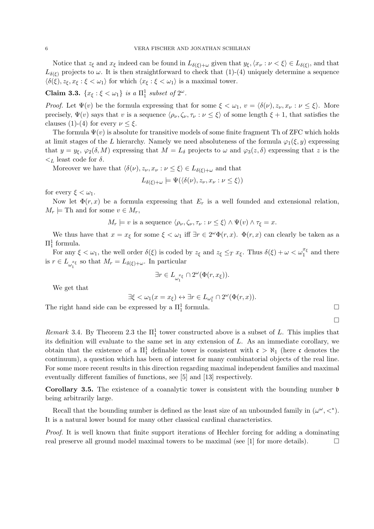Notice that  $z_{\xi}$  and  $x_{\xi}$  indeed can be found in  $L_{\delta(\xi)+\omega}$  given that  $y_{\xi}, \langle x_{\nu} : \nu < \xi \rangle \in L_{\delta(\xi)}$ , and that  $L_{\delta(\xi)}$  projects to  $\omega$ . It is then straightforward to check that (1)-(4) uniquely determine a sequence  $\langle \delta(\xi), z_{\xi}, x_{\xi} : \xi < \omega_1 \rangle$  for which  $\langle x_{\xi} : \xi < \omega_1 \rangle$  is a maximal tower.

**Claim 3.3.**  $\{x_{\xi} : \xi < \omega_1\}$  *is a*  $\Pi_1^1$  *subset of*  $2^{\omega}$ *.* 

*Proof.* Let  $\Psi(v)$  be the formula expressing that for some  $\xi < \omega_1$ ,  $v = \langle \delta(\nu), z_\nu, x_\nu : \nu \leq \xi \rangle$ . More precisely,  $\Psi(v)$  says that *v* is a sequence  $\langle \rho_{\nu}, \zeta_{\nu}, \tau_{\nu} : \nu \leq \xi \rangle$  of some length  $\xi + 1$ , that satisfies the clauses (1)-(4) for every  $\nu \leq \xi$ .

The formula  $\Psi(v)$  is absolute for transitive models of some finite fragment Th of ZFC which holds at limit stages of the *L* hierarchy. Namely we need absoluteness of the formula  $\varphi_1(\xi, y)$  expressing that  $y = y_{\xi}$ ,  $\varphi_2(\delta, M)$  expressing that  $M = L_{\delta}$  projects to  $\omega$  and  $\varphi_3(z, \delta)$  expressing that *z* is the  $\lt_L$  least code for  $\delta$ .

Moreover we have that  $\langle \delta(\nu), z_{\nu}, x_{\nu} : \nu \leq \xi \rangle \in L_{\delta(\xi)+\omega}$  and that

$$
L_{\delta(\xi)+\omega} \models \Psi(\langle \delta(\nu), z_{\nu}, x_{\nu} : \nu \leq \xi \rangle)
$$

for every  $\xi < \omega_1$ .

Now let  $\Phi(r, x)$  be a formula expressing that  $E_r$  is a well founded and extensional relation,  $M_r \models$  Th and for some  $v \in M_r$ ,

$$
M_r \models v
$$
 is a sequence  $\langle \rho_\nu, \zeta_\nu, \tau_\nu : \nu \leq \xi \rangle \wedge \Psi(v) \wedge \tau_\xi = x$ .

We thus have that  $x = x_{\xi}$  for some  $\xi < \omega_1$  iff  $\exists r \in 2^{\omega} \Phi(r, x)$ .  $\Phi(r, x)$  can clearly be taken as a  $\Pi_1^1$  formula.

For any  $\xi < \omega_1$ , the well order  $\delta(\xi)$  is coded by  $z_{\xi}$  and  $z_{\xi} \leq_T x_{\xi}$ . Thus  $\delta(\xi) + \omega < \omega_1^{x_{\xi}}$  and there is  $r \in L_{\omega_1^{x_{\xi}}}$  so that  $M_r = L_{\delta(\xi)+\omega}$ . In particular

$$
\exists r \in L_{\omega_1^{x_\xi}} \cap 2^{\omega}(\Phi(r, x_\xi)).
$$

We get that

$$
\exists \xi < \omega_1(x = x_{\xi}) \leftrightarrow \exists r \in L_{\omega_1^x} \cap 2^{\omega}(\Phi(r, x)).
$$

The right hand side can be expressed by a  $\Pi_1^1$  formula.  $\Box$ 

 $\Box$ 

*Remark* 3.4. By Theorem 2.3 the  $\Pi_1^1$  tower constructed above is a subset of *L*. This implies that its definition will evaluate to the same set in any extension of *L*. As an immediate corollary, we obtain that the existence of a  $\Pi_1^1$  definable tower is consistent with  $\mathfrak{c} > \aleph_1$  (here  $\mathfrak{c}$  denotes the continuum), a question which has been of interest for many combinatorial objects of the real line. For some more recent results in this direction regarding maximal independent families and maximal eventually different families of functions, see [5] and [13] respectively.

Corollary 3.5. The existence of a coanalytic tower is consistent with the bounding number b being arbitrarily large.

Recall that the bounding number is defined as the least size of an unbounded family in  $(\omega^{\omega}, \langle \cdot \rangle)$ . It is a natural lower bound for many other classical cardinal characteristics.

*Proof.* It is well known that finite support iterations of Hechler forcing for adding a dominating real preserve all ground model maximal towers to be maximal (see [1] for more details).  $\Box$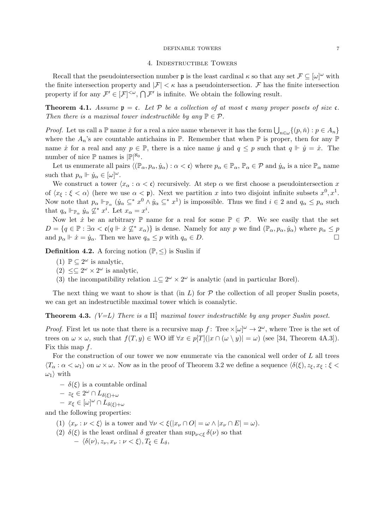## 4. Indestructible Towers

Recall that the pseudointersection number  $\mathfrak p$  is the least cardinal  $\kappa$  so that any set  $\mathcal F \subseteq [\omega]^\omega$  with the finite intersection property and  $|\mathcal{F}| < \kappa$  has a pseudointersection.  $\mathcal F$  has the finite intersection property if for any  $\mathcal{F}' \in [\mathcal{F}]^{<\omega}$ ,  $\bigcap \mathcal{F}'$  is infinite. We obtain the following result.

**Theorem 4.1.** Assume  $\mathfrak{p} = \mathfrak{c}$ . Let P be a collection of at most  $\mathfrak{c}$  many proper posets of size  $\mathfrak{c}$ . *Then there is a maximal tower indestructible by any*  $\mathbb{P} \in \mathcal{P}$ *.* 

*Proof.* Let us call a  $\mathbb{P}$  name  $\dot{x}$  for a real a nice name whenever it has the form  $\bigcup_{n\in\omega}\{(p,\check{n}):p\in A_n\}$ where the  $A_n$ 's are countable antichains in  $\mathbb P$ . Remember that when  $\mathbb P$  is proper, then for any  $\mathbb P$ name  $\dot{x}$  for a real and any  $p \in \mathbb{P}$ , there is a nice name  $\dot{y}$  and  $q \leq p$  such that  $q \Vdash \dot{y} = \dot{x}$ . The number of nice  $\mathbb{P}$  names is  $|\mathbb{P}|^{\aleph_0}$ .

Let us enumerate all pairs  $\langle (\mathbb{P}_{\alpha}, p_{\alpha}, \dot{y}_{\alpha}) : \alpha < \mathfrak{c} \rangle$  where  $p_{\alpha} \in \mathbb{P}_{\alpha}$ ,  $\mathbb{P}_{\alpha} \in \mathcal{P}$  and  $\dot{y}_{\alpha}$  is a nice  $\mathbb{P}_{\alpha}$  name such that  $p_{\alpha} \Vdash \dot{y}_{\alpha} \in [\omega]^{\omega}$ .

We construct a tower  $\langle x_\alpha : \alpha < \mathfrak{c} \rangle$  recursively. At step  $\alpha$  we first choose a pseudointersection *x* of  $\langle x_{\xi} : \xi < \alpha \rangle$  (here we use  $\alpha < \mathfrak{p}$ ). Next we partition *x* into two disjoint infinite subsets  $x^0, x^1$ . Now note that  $p_\alpha \Vdash_{\mathbb{P}_\alpha} ( \dot{y}_\alpha \subseteq^* x^0 \wedge \dot{y}_\alpha \subseteq^* x^1)$  is impossible. Thus we find  $i \in 2$  and  $q_\alpha \leq p_\alpha$  such that  $q_{\alpha} \Vdash_{\mathbb{P}_{\alpha}} \dot{y}_{\alpha} \not\subseteq^* x^i$ . Let  $x_{\alpha} = x^i$ .

Now let  $\dot{x}$  be an arbitrary  $\mathbb P$  name for a real for some  $\mathbb P \in \mathcal P$ . We see easily that the set  $D = \{q \in \mathbb{P} : \exists \alpha < \mathfrak{c}(q \Vdash \dot{x} \nsubseteq^* x_\alpha)\}$  is dense. Namely for any *p* we find  $(\mathbb{P}_\alpha, p_\alpha, \dot{y}_\alpha)$  where  $p_\alpha \leq p$ <br>and  $p_\alpha \Vdash \dot{x} = \dot{y}_\alpha$ . Then we have  $q_\alpha \leq r$  with  $q_\alpha \in D$ and  $p_{\alpha} \Vdash \dot{x} = \dot{y}_{\alpha}$ . Then we have  $q_{\alpha} \leq p$  with  $q_{\alpha} \in D$ .

**Definition 4.2.** A forcing notion  $(\mathbb{P}, \leq)$  is Suslin if

- (1)  $\mathbb{P} \subseteq 2^{\omega}$  is analytic,
- $(2) \leq \Omega^{\omega} \times 2^{\omega}$  is analytic,
- (3) the incompatibility relation  $\perp \subseteq 2^{\omega} \times 2^{\omega}$  is analytic (and in particular Borel).

The next thing we want to show is that (in  $L$ ) for  $P$  the collection of all proper Suslin posets, we can get an indestructible maximal tower which is coanalytic.

**Theorem 4.3.** *(V=L) There is a*  $\Pi_1^1$  *maximal tower indestructible by any proper Suslin poset.* 

*Proof.* First let us note that there is a recursive map  $f$ : Tree  $\times [\omega]^\omega \to 2^\omega$ , where Tree is the set of trees on  $\omega \times \omega$ , such that  $f(T,y) \in \mathbb{W}\mathbb{O}$  iff  $\forall x \in p[T](|x \cap (\omega \setminus y)| = \omega)$  (see [34, Theorem 4A.3]). Fix this map *f*.

For the construction of our tower we now enumerate via the canonical well order of *L* all trees  $\langle T_\alpha : \alpha < \omega_1 \rangle$  on  $\omega \times \omega$ . Now as in the proof of Theorem 3.2 we define a sequence  $\langle \delta(\xi), z_\xi, x_\xi : \xi <$  $\omega_1$  with

 $-\delta(\xi)$  is a countable ordinal

$$
- z_{\xi} \in 2^{\omega} \cap L_{\delta(\xi)+\omega}
$$

$$
- x_{\xi} \in [\omega]^{\omega} \cap L_{\delta(\xi)+\omega}
$$

and the following properties:

- (1)  $\langle x_\nu : \nu < \xi \rangle$  is a tower and  $\forall \nu < \xi(|x_\nu \cap O| = \omega \wedge |x_\nu \cap E| = \omega)$ .
- (2)  $\delta(\xi)$  is the least ordinal  $\delta$  greater than  $\sup_{\nu \leq \xi} \delta(\nu)$  so that  $- \langle \delta(\nu), z_{\nu}, x_{\nu} : \nu < \xi \rangle, T_{\xi} \in L_{\delta},$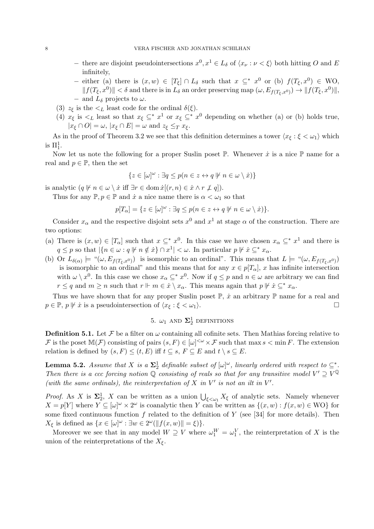- there are disjoint pseudointersections  $x^0, x^1 \in L_{\delta}$  of  $\langle x_{\nu} : \nu \langle \xi \rangle$  both hitting *O* and *E* infinitely,
- either (a) there is  $(x, w) \in [T_{\xi}] \cap L_{\delta}$  such that  $x \subseteq^* x^0$  or (b)  $f(T_{\xi}, x^0) \in WO$ ,  $|| f(T_\xi, x^0) || < \delta$  and there is in  $L_\delta$  an order preserving map  $(\omega, E_{f(T_\epsilon, x^0)}) \to || f(T_\xi, x^0) ||$ - and  $L_{\delta}$  projects to  $\omega$ .
- (3)  $z_{\xi}$  is the  $\lt_L$  least code for the ordinal  $\delta(\xi)$ .
- (4)  $x_{\xi}$  is  $\leq_L$  least so that  $x_{\xi} \subseteq^* x^1$  or  $x_{\xi} \subseteq^* x^0$  depending on whether (a) or (b) holds true,  $|x_{\xi} \cap O| = \omega$ ,  $|x_{\xi} \cap E| = \omega$  and  $z_{\xi} \leq_T x_{\xi}$ .

As in the proof of Theorem 3.2 we see that this definition determines a tower  $\langle x_{\xi} : \xi < \omega_1 \rangle$  which is  $\Pi^1_1$ .

Now let us note the following for a proper Suslin poset  $\mathbb P$ . Whenever  $\dot{x}$  is a nice  $\mathbb P$  name for a real and  $p \in \mathbb{P}$ , then the set

$$
\{z\in[\omega]^\omega:\exists q\leq p(n\in z\leftrightarrow q\not\Vdash n\in\omega\setminus\dot x)\}
$$

is analytic  $(q \not\parallel n \in \omega \setminus \dot{x} \text{ iff } \exists r \in \text{dom } \dot{x}[(r, n) \in \dot{x} \land r \not\perp q]).$ 

Thus for any  $\mathbb{P}, p \in \mathbb{P}$  and  $\dot{x}$  a nice name there is  $\alpha < \omega_1$  so that

$$
p[T_\alpha]=\{z\in[\omega]^\omega: \exists q\leq p(n\in z\leftrightarrow q\not\Vdash n\in\omega\setminus\dot x)\}.
$$

Consider  $x_\alpha$  and the respective disjoint sets  $x^0$  and  $x^1$  at stage  $\alpha$  of the construction. There are two options:

- (a) There is  $(x, w) \in [T_\alpha]$  such that  $x \subseteq^* x^0$ . In this case we have chosen  $x_\alpha \subseteq^* x^1$  and there is  $q \leq p$  so that  $|\{n \in \omega : q \mid n \notin \dot{x}\} \cap x^1| < \omega$ . In particular  $p \not\mid \dot{x} \subseteq^* x_\alpha$ .
- (b) Or  $L_{\delta(\alpha)} \models "(\omega, E_{f(T_{\epsilon},x^{0})})$  is isomorphic to an ordinal". This means that  $L \models "(\omega, E_{f(T_{\epsilon},x^{0})})$ is isomorphic to an ordinal" and this means that for any  $x \in p[T_\alpha]$ , *x* has infinite intersection with  $\omega \setminus x^0$ . In this case we chose  $x_\alpha \subseteq^* x^0$ . Now if  $q \leq p$  and  $n \in \omega$  are arbitrary we can find  $r \leq q$  and  $m \geq n$  such that  $r \Vdash m \in \dot{x} \setminus x_\alpha$ . This means again that  $p \not\Vdash \dot{x} \subseteq^* x_\alpha$ .

Thus we have shown that for any proper Suslin poset  $\mathbb{P}, \dot{x}$  an arbitrary  $\mathbb{P}$  name for a real and  $p \in \mathbb{P}, p \not\vdash \dot{x}$  is a pseudointersection of  $\langle x_{\xi} : \xi < \omega_1 \rangle$ .

# 5.  $\omega_1$  and  $\Sigma^1_2$  definitions

**Definition 5.1.** Let  $\mathcal F$  be a filter on  $\omega$  containing all cofinite sets. Then Mathias forcing relative to *F* is the poset  $M(F)$  consisting of pairs  $(s, F) \in [\omega]^{<\omega} \times F$  such that max  $s < \min F$ . The extension relation is defined by  $(s, F) \leq (t, E)$  iff  $t \subseteq s$ ,  $F \subseteq E$  and  $t \setminus s \subseteq E$ .

**Lemma 5.2.** Assume that X is a  $\Sigma^1_2$  definable subset of  $[\omega]^\omega$ , linearly ordered with respect to  $\subseteq^*$ . *Then there is a ccc forcing notion*  $\mathbb Q$  *consisting of reals so that for any transitive model*  $V' \supseteq V^{\mathbb Q}$ *(with the same ordinals), the reinterpretation of*  $X$  *in*  $V'$  *is not an ilt in*  $V'$ .

*Proof.* As *X* is  $\Sigma_2^1$ , *X* can be written as a union  $\bigcup_{\xi<\omega_1} X_{\xi}$  of analytic sets. Namely whenever  $X = p[Y]$  where  $Y \subseteq [\omega]^\omega \times 2^\omega$  is coanalytic then *Y* can be written as  $\{(x, w) : f(x, w) \in \text{WO}\}\$ for some fixed continuous function  $f$  related to the definition of  $Y$  (see [34] for more details). Then  $X_{\xi}$  is defined as  $\{x \in [\omega]^{\omega} : \exists w \in 2^{\omega}(\|f(x,w)\| = \xi)\}.$ 

Moreover we see that in any model  $W \supseteq V$  where  $\omega_1^W = \omega_1^V$ , the reinterpretation of *X* is the union of the reinterpretations of the  $X_{\xi}$ .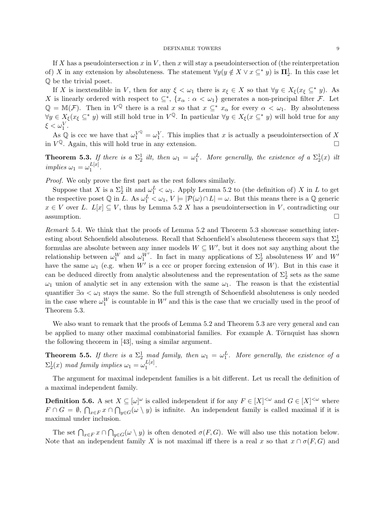If *X* has a pseudointersection *x* in *V* , then *x* will stay a pseudointersection of (the reinterpretation of) *X* in any extension by absoluteness. The statement  $\forall y (y \notin X \lor x \subseteq^* y)$  is  $\mathbf{\Pi}^1_2$ . In this case let Q be the trivial poset.

If *X* is inextendible in *V*, then for any  $\xi < \omega_1$  there is  $x_{\xi} \in X$  so that  $\forall y \in X_{\xi}(x_{\xi} \subseteq^* y)$ . As *X* is linearly ordered with respect to  $\subseteq^*, \{x_\alpha : \alpha < \omega_1\}$  generates a non-principal filter *F*. Let  $\mathbb{Q} = \mathbb{M}(\mathcal{F})$ . Then in  $V^{\mathbb{Q}}$  there is a real *x* so that  $x \subseteq^* x_\alpha$  for every  $\alpha < \omega_1$ . By absoluteness  $\forall y \in X_{\xi}(x_{\xi} \subseteq^* y)$  will still hold true in  $V^{\mathbb{Q}}$ . In particular  $\forall y \in X_{\xi}(x \subseteq^* y)$  will hold true for any  $\xi < \omega_1^V$ .

As  $\mathbb{Q}$  is ccc we have that  $\omega_1^{V^{\mathbb{Q}}} = \omega_1^{V}$ . This implies that *x* is actually a pseudointersection of *X* in  $V^{\mathbb{Q}}$ . Again, this will hold true in any extension.  $\square$ 

**Theorem 5.3.** If there is a  $\Sigma_2^1$  ilt, then  $\omega_1 = \omega_1^L$ . More generally, the existence of a  $\Sigma_2^1(x)$  ilt  $implies \omega_1 = \omega_1^{L[x]}$ .

*Proof.* We only prove the first part as the rest follows similarly.

Suppose that *X* is a  $\Sigma^1_2$  ilt and  $\omega^L_1 < \omega_1$ . Apply Lemma 5.2 to (the definition of) *X* in *L* to get the respective poset  $\mathbb Q$  in *L*. As  $\omega_1^L < \omega_1$ ,  $V \models |\mathcal P(\omega) \cap L| = \omega$ . But this means there is a  $\mathbb Q$  generic  $x \in V$  over *L*.  $L[x] \subseteq V$ , thus by Lemma 5.2 *X* has a pseudointersection in *V*, contradicting our assumption.  $\Box$  assumption.

*Remark* 5.4*.* We think that the proofs of Lemma 5.2 and Theorem 5.3 showcase something interesting about Schoenfield absoluteness. Recall that Schoenfield's absoluteness theorem says that  $\Sigma^1_2$ formulas are absolute between any inner models  $W \subseteq W'$ , but it does not say anything about the relationship between  $\omega_1^W$  and  $\omega_1^{W'}$ . In fact in many applications of  $\Sigma_2^1$  absoluteness *W* and *W'* have the same  $\omega_1$  (e.g. when *W'* is a ccc or proper forcing extension of *W*). But in this case it can be deduced directly from analytic absoluteness and the representation of  $\Sigma_2^1$  sets as the same  $\omega_1$  union of analytic set in any extension with the same  $\omega_1$ . The reason is that the existential quantifier  $\exists \alpha < \omega_1$  stays the same. So the full strength of Schoenfield absoluteness is only needed in the case where  $\omega_1^W$  is countable in  $W'$  and this is the case that we crucially used in the proof of Theorem 5.3.

We also want to remark that the proofs of Lemma 5.2 and Theorem 5.3 are very general and can be applied to many other maximal combinatorial families. For example A. Törnquist has shown the following theorem in [43], using a similar argument.

**Theorem 5.5.** If there is a  $\Sigma^1_2$  mad family, then  $\omega_1 = \omega_1^L$ . More generally, the existence of a  $\Sigma_2^1(x)$  *mad family implies*  $\omega_1 = \omega_1^{L[x]}$ .

The argument for maximal independent families is a bit different. Let us recall the definition of a maximal independent family.

**Definition 5.6.** A set  $X \subseteq [\omega]^\omega$  is called independent if for any  $F \in [X]^{<\omega}$  and  $G \in [X]^{<\omega}$  where  $F \cap G = \emptyset$ ,  $\bigcap_{x \in F} x \cap \bigcap_{y \in G} (\omega \setminus y)$  is infinite. An independent family is called maximal if it is maximal under inclusion.

The set  $\bigcap_{x \in F} x \cap \bigcap_{y \in G} (\omega \setminus y)$  is often denoted  $\sigma(F, G)$ . We will also use this notation below. Note that an independent family *X* is not maximal iff there is a real *x* so that  $x \cap \sigma(F, G)$  and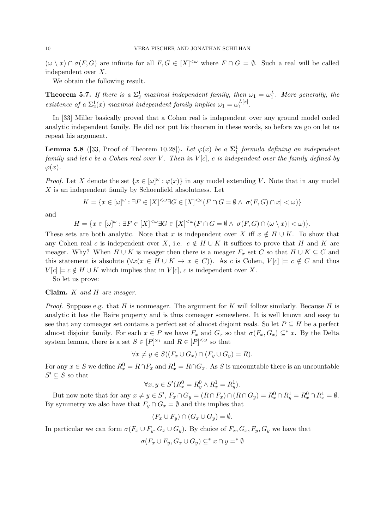$(\omega \setminus x) \cap \sigma(F, G)$  are infinite for all  $F, G \in [X]^{<\omega}$  where  $F \cap G = \emptyset$ . Such a real will be called independent over *X*.

We obtain the following result.

**Theorem 5.7.** If there is a  $\Sigma_2^1$  maximal independent family, then  $\omega_1 = \omega_1^L$ . More generally, the *existence of a*  $\Sigma_2^1(x)$  *maximal independent family implies*  $\omega_1 = \omega_1^{L[x]}$ .

In [33] Miller basically proved that a Cohen real is independent over any ground model coded analytic independent family. He did not put his theorem in these words, so before we go on let us repeat his argument.

**Lemma 5.8** ([33, Proof of Theorem 10.28]). Let  $\varphi(x)$  be a  $\Sigma_1^1$  formula defining an independent *family and let c be a Cohen real over V . Then in V* [*c*]*, c is independent over the family defined by*  $\varphi(x)$ .

*Proof.* Let *X* denote the set  $\{x \in [\omega]^\omega : \varphi(x)\}$  in any model extending *V*. Note that in any model *X* is an independent family by Schoenfield absolutness. Let

$$
K = \{ x \in [\omega]^\omega : \exists F \in [X]^{<\omega} \exists G \in [X]^{<\omega} (F \cap G = \emptyset \land |\sigma(F, G) \cap x| < \omega) \}
$$

and

$$
H = \{x \in [\omega]^\omega : \exists F \in [X]^{<\omega} \exists G \in [X]^{<\omega} (F \cap G = \emptyset \land |\sigma(F, G) \cap (\omega \setminus x)| < \omega)\}.
$$

These sets are both analytic. Note that *x* is independent over *X* iff  $x \notin H \cup K$ . To show that any Cohen real *c* is independent over *X*, i.e.  $c \notin H \cup K$  it suffices to prove that *H* and *K* are meager. Why? When  $H \cup K$  is meager then there is a meager  $F_{\sigma}$  set *C* so that  $H \cup K \subseteq C$  and this statement is absolute  $(\forall x (x \in H \cup K \rightarrow x \in C))$ . As *c* is Cohen,  $V[c] \models c \notin C$  and thus  $V[c] \models c \notin H \cup K$  which implies that in  $V[c]$ , *c* is independent over *X*.

So let us prove:

## Claim. *K and H are meager.*

*Proof.* Suppose e.g. that *H* is nonmeager. The argument for *K* will follow similarly. Because *H* is analytic it has the Baire property and is thus comeager somewhere. It is well known and easy to see that any comeager set contains a perfect set of almost disjoint reals. So let  $P \subseteq H$  be a perfect almost disjoint family. For each  $x \in P$  we have  $F_x$  and  $G_x$  so that  $\sigma(F_x, G_x) \subseteq^* x$ . By the Delta system lemma, there is a set  $S \in [P]^{\omega_1}$  and  $R \in [P]^{<\omega}$  so that

$$
\forall x \neq y \in S((F_x \cup G_x) \cap (F_y \cup G_y) = R).
$$

For any  $x \in S$  we define  $R_x^0 = R \cap F_x$  and  $R_x^1 = R \cap G_x$ . As *S* is uncountable there is an uncountable  $S' \subseteq S$  so that

$$
\forall x, y \in S'(R_x^0 = R_y^0 \land R_x^1 = R_y^1).
$$

But now note that for any  $x \neq y \in S'$ ,  $F_x \cap G_y = (R \cap F_x) \cap (R \cap G_y) = R_x^0 \cap R_y^1 = R_x^0 \cap R_x^1 = \emptyset$ . By symmetry we also have that  $F_y \cap G_x = \emptyset$  and this implies that

$$
(F_x \cup F_y) \cap (G_x \cup G_y) = \emptyset.
$$

In particular we can form  $\sigma(F_x \cup F_y, G_x \cup G_y)$ . By choice of  $F_x, G_x, F_y, G_y$  we have that

$$
\sigma(F_x \cup F_y, G_x \cup G_y) \subseteq^* x \cap y =^* \emptyset
$$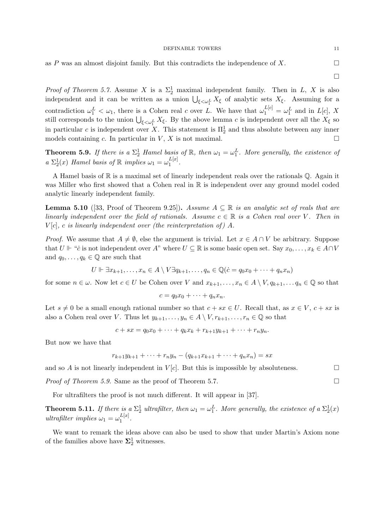as  $P$  was an almost disjoint family. But this contradicts the independence of  $X$ .

 $\Box$ 

*Proof of Theorem 5.7.* Assume *X* is a  $\Sigma^1_2$  maximal independent family. Then in *L*, *X* is also independent and it can be written as a union  $\bigcup_{\xi \prec \omega_1^L} X_{\xi}$  of analytic sets  $X_{\xi}$ . Assuming for a contradiction  $\omega_1^L < \omega_1$ , there is a Cohen real *c* over *L*. We have that  $\omega_1^{L[c]} = \omega_1^L$  and in  $L[c]$ , *X* still corresponds to the union  $\bigcup_{\xi \prec \omega_1^L} X_{\xi}$ . By the above lemma *c* is independent over all the  $X_{\xi}$  so in particular *c* is independent over *X*. This statement is  $\Pi_2^1$  and thus absolute between any inner models containing *c*. In particular in *V*, *X* is not maximal.  $\Box$ 

**Theorem 5.9.** If there is a  $\Sigma^1_2$  Hamel basis of R, then  $\omega_1 = \omega_1^L$ . More generally, the existence of  $a \sum_{i=1}^{1} (x)$  *Hamel basis of*  $\mathbb{R}$  *implies*  $\omega_1 = \omega_1^{L[x]}$ *.* 

A Hamel basis of  $\mathbb R$  is a maximal set of linearly independent reals over the rationals  $\mathbb Q$ . Again it was Miller who first showed that a Cohen real in  $\mathbb R$  is independent over any ground model coded analytic linearly independent family.

**Lemma 5.10** ([33, Proof of Theorem 9.25]). Assume  $A \subseteq \mathbb{R}$  is an analytic set of reals that are *linearly independent over the field of rationals. Assume*  $c \in \mathbb{R}$  *is a Cohen real over V*. Then *in*  $V[c]$ , *c is linearly independent over (the reinterpretation of)*  $A$ *.* 

*Proof.* We assume that  $A \neq \emptyset$ , else the argument is trivial. Let  $x \in A \cap V$  be arbitrary. Suppose that  $U \Vdash "c$  is not independent over  $A$ " where  $U \subseteq \mathbb{R}$  is some basic open set. Say  $x_0, \ldots, x_k \in A \cap V$ and  $q_0, \ldots, q_k \in \mathbb{Q}$  are such that

$$
U \Vdash \exists x_{k+1}, \ldots, x_n \in A \setminus V \exists q_{k+1}, \ldots, q_n \in \mathbb{Q}(\dot{c} = q_0 x_0 + \cdots + q_n x_n)
$$

for some  $n \in \omega$ . Now let  $c \in U$  be Cohen over *V* and  $x_{k+1}, \ldots, x_n \in A \setminus V, q_{k+1}, \ldots, q_n \in \mathbb{Q}$  so that

$$
c = q_0 x_0 + \dots + q_n x_n.
$$

Let  $s \neq 0$  be a small enough rational number so that  $c + sx \in U$ . Recall that, as  $x \in V$ ,  $c + sx$  is also a Cohen real over *V*. Thus let  $y_{k+1}, \ldots, y_n \in A \setminus V, r_{k+1}, \ldots, r_n \in \mathbb{Q}$  so that

$$
c + sx = q_0x_0 + \dots + q_kx_k + r_{k+1}y_{k+1} + \dots + r_ny_n.
$$

But now we have that

$$
r_{k+1}y_{k+1} + \dots + r_ny_n - (q_{k+1}x_{k+1} + \dots + q_nx_n) = sx
$$

and so *A* is not linearly independent in  $V[c]$ . But this is impossible by absoluteness.

*Proof of Theorem 5.9.* Same as the proof of Theorem 5.7.  $\Box$ 

For ultrafilters the proof is not much different. It will appear in [37].

**Theorem 5.11.** If there is a  $\Sigma_2^1$  ultrafilter, then  $\omega_1 = \omega_1^L$ . More generally, the existence of a  $\Sigma_2^1(x)$ *ultrafilter implies*  $\omega_1 = \omega_1^{L[x]}$ .

We want to remark the ideas above can also be used to show that under Martin's Axiom none of the families above have  $\Sigma_2^1$  witnesses.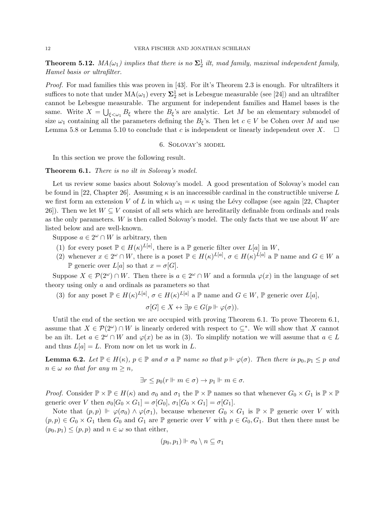**Theorem 5.12.**  $MA(\omega_1)$  implies that there is no  $\Sigma_2^1$  ilt, mad family, maximal independent family, *Hamel basis or ultrafilter.*

*Proof.* For mad families this was proven in [43]. For ilt's Theorem 2.3 is enough. For ultrafilters it suffices to note that under  $\text{MA}(\omega_1)$  every  $\mathbf{\Sigma}^1_2$  set is Lebesgue measurable (see [24]) and an ultrafilter cannot be Lebesgue measurable. The argument for independent families and Hamel bases is the same. Write  $X = \bigcup_{\xi \leq \omega_1} B_{\xi}$  where the  $B_{\xi}$ 's are analytic. Let M be an elementary submodel of size  $\omega_1$  containing all the parameters defining the  $B_\xi$ 's. Then let  $c \in V$  be Cohen over *M* and use Lemma 5.8 or Lemma 5.10 to conclude that *c* is independent or linearly independent over *X*. Lemma 5.8 or Lemma 5.10 to conclude that  $c$  is independent or linearly independent over  $X$ .

6. Solovay's model

In this section we prove the following result.

## Theorem 6.1. *There is no ilt in Solovay's model.*

Let us review some basics about Solovay's model. A good presentation of Solovay's model can be found in [22, Chapter 26]. Assuming  $\kappa$  is an inaccessible cardinal in the constructible universe L we first form an extension *V* of *L* in which  $\omega_1 = \kappa$  using the Lévy collapse (see again [22, Chapter 26]). Then we let  $W \subseteq V$  consist of all sets which are hereditarily definable from ordinals and reals as the only parameters. *W* is then called Solovay's model. The only facts that we use about *W* are listed below and are well-known.

Suppose  $a \in 2^{\omega} \cap W$  is arbitrary, then

- (1) for every poset  $\mathbb{P} \in H(\kappa)^{L[a]}$ , there is a  $\mathbb{P}$  generic filter over  $L[a]$  in W,
- (2) whenever  $x \in 2^{\omega} \cap W$ , there is a poset  $\mathbb{P} \in H(\kappa)^{L[a]}$ ,  $\sigma \in H(\kappa)^{L[a]}$  a  $\mathbb{P}$  name and  $G \in W$  a P generic over  $L[a]$  so that  $x = \sigma[G]$ .

Suppose  $X \in \mathcal{P}(2^{\omega}) \cap W$ . Then there is  $a \in 2^{\omega} \cap W$  and a formula  $\varphi(x)$  in the language of set theory using only *a* and ordinals as parameters so that

(3) for any poset  $\mathbb{P} \in H(\kappa)^{L[a]}, \sigma \in H(\kappa)^{L[a]}$  a  $\mathbb{P}$  name and  $G \in W$ ,  $\mathbb{P}$  generic over  $L[a]$ ,

$$
\sigma[G] \in X \leftrightarrow \exists p \in G(p \Vdash \varphi(\sigma)).
$$

Until the end of the section we are occupied with proving Theorem 6.1. To prove Theorem 6.1, assume that  $X \in \mathcal{P}(2^{\omega}) \cap W$  is linearly ordered with respect to  $\subset^*$ . We will show that X cannot be an ilt. Let  $a \in 2^{\omega} \cap W$  and  $\varphi(x)$  be as in (3). To simplify notation we will assume that  $a \in L$ and thus  $L[a] = L$ . From now on let us work in  $L$ .

**Lemma 6.2.** Let  $\mathbb{P} \in H(\kappa)$ ,  $p \in \mathbb{P}$  and  $\sigma$  a  $\mathbb{P}$  name so that  $p \Vdash \varphi(\sigma)$ . Then there is  $p_0, p_1 \leq p$  and  $n \in \omega$  *so that for any*  $m \geq n$ .

$$
\exists r \le p_0 (r \Vdash m \in \sigma) \to p_1 \Vdash m \in \sigma.
$$

*Proof.* Consider  $\mathbb{P} \times \mathbb{P} \in H(\kappa)$  and  $\sigma_0$  and  $\sigma_1$  the  $\mathbb{P} \times \mathbb{P}$  names so that whenever  $G_0 \times G_1$  is  $\mathbb{P} \times \mathbb{P}$ generic over *V* then  $\sigma_0[G_0 \times G_1] = \sigma[G_0], \sigma_1[G_0 \times G_1] = \sigma[G_1].$ 

Note that  $(p, p) \Vdash \varphi(\sigma_0) \wedge \varphi(\sigma_1)$ , because whenever  $G_0 \times G_1$  is  $\mathbb{P} \times \mathbb{P}$  generic over *V* with  $(p, p) \in G_0 \times G_1$  then  $G_0$  and  $G_1$  are  $\mathbb P$  generic over *V* with  $p \in G_0, G_1$ . But then there must be  $(p_0, p_1) \leq (p, p)$  and  $n \in \omega$  so that either,

$$
(p_0,p_1)\Vdash \sigma_0\setminus n\subseteq \sigma_1
$$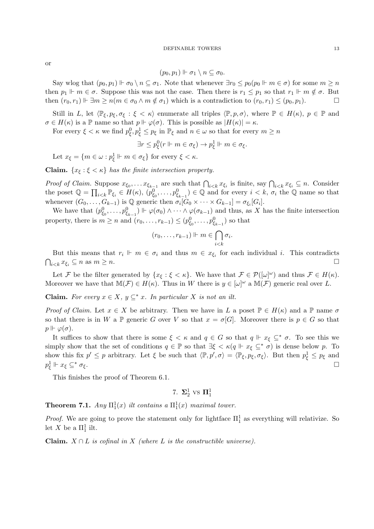or

$$
(p_0,p_1)\Vdash \sigma_1\setminus n\subseteq \sigma_0.
$$

Say wlog that  $(p_0, p_1) \Vdash \sigma_0 \setminus n \subseteq \sigma_1$ . Note that whenever  $\exists r_0 \leq p_0(p_0 \Vdash m \in \sigma)$  for some  $m \geq n$ then  $p_1 \Vdash m \in \sigma$ . Suppose this was not the case. Then there is  $r_1 \leq p_1$  so that  $r_1 \Vdash m \notin \sigma$ . But<br>then  $(r_0, r_1) \Vdash \exists m \geq n(m \in \sigma_0 \land m \notin \sigma_1)$  which is a contradiction to  $(r_0, r_1) \leq (p_0, p_1)$ . then  $(r_0, r_1) \Vdash \exists m \ge n (m \in \sigma_0 \land m \notin \sigma_1)$  which is a contradiction to  $(r_0, r_1) \le (p_0, p_1)$ .

Still in *L*, let  $\langle \mathbb{P}_{\xi}, p_{\xi}, \sigma_{\xi} : \xi < \kappa \rangle$  enumerate all triples  $\langle \mathbb{P}, p, \sigma \rangle$ , where  $\mathbb{P} \in H(\kappa)$ ,  $p \in \mathbb{P}$  and  $\sigma \in H(\kappa)$  is a P name so that  $p \Vdash \varphi(\sigma)$ . This is possible as  $|H(\kappa)| = \kappa$ .

For every  $\xi < \kappa$  we find  $p_{\xi}^0, p_{\xi}^1 \leq p_{\xi}$  in  $\mathbb{P}_{\xi}$  and  $n \in \omega$  so that for every  $m \geq n$ 

$$
\exists r \le p_{\xi}^{0}(r \Vdash m \in \sigma_{\xi}) \to p_{\xi}^{1} \Vdash m \in \sigma_{\xi}.
$$

Let  $x_{\xi} = \{m \in \omega : p_{\xi}^1 \Vdash m \in \sigma_{\xi}\}\$  for every  $\xi < \kappa$ .

**Claim.**  $\{x_{\xi} : \xi < \kappa\}$  has the finite intersection property.

*Proof of Claim.* Suppose  $x_{\xi_0}, \ldots x_{\xi_{k-1}}$  are such that  $\bigcap_{i \leq k} x_{\xi_i}$  is finite, say  $\bigcap_{i \leq k} x_{\xi_i} \subseteq n$ . Consider the poset  $\mathbb{Q} = \prod_{i \leq k} \mathbb{P}_{\xi_i} \in H(\kappa), (p_{\xi_0}^0, \ldots, p_{\xi_{k-1}}^0) \in \mathbb{Q}$  and for every  $i \leq k, \sigma_i$  the  $\mathbb{Q}$  name so that whenever  $(G_0, \ldots, G_{k-1})$  is  $\mathbb Q$  generic then  $\sigma_i[G_0 \times \cdots \times G_{k-1}] = \sigma_{\xi_i}[G_i].$ 

We have that  $(p_{\xi_0}^0, \ldots, p_{\xi_{k-1}}^0) \Vdash \varphi(\sigma_0) \wedge \cdots \wedge \varphi(\sigma_{k-1})$  and thus, as *X* has the finite intersection property, there is  $m \ge n$  and  $(r_0, \ldots, r_{k-1}) \le (p_{\xi_0}^0, \ldots, p_{\xi_{k-1}}^0)$  so that

$$
(r_0,\ldots,r_{k-1}) \Vdash m \in \bigcap_{i
$$

But this means that  $r_i \Vdash m \in \sigma_i$  and thus  $m \in x_{\xi_i}$  for each individual *i*. This contradicts  $\bigcap_{i \leq k} x_{\xi_i} \subseteq n \text{ as } m \geq n.$ 

Let *F* be the filter generated by  $\{x_{\xi} : \xi < \kappa\}$ . We have that  $\mathcal{F} \in \mathcal{P}([\omega]^{\omega})$  and thus  $\mathcal{F} \in H(\kappa)$ . Moreover we have that  $\mathbb{M}(\mathcal{F}) \in H(\kappa)$ . Thus in *W* there is  $y \in [\omega]^\omega$  a  $\mathbb{M}(\mathcal{F})$  generic real over *L*.

**Claim.** For every  $x \in X$ ,  $y \subseteq^* x$ . In particular X is not an ilt.

*Proof of Claim.* Let  $x \in X$  be arbitrary. Then we have in L a poset  $\mathbb{P} \in H(\kappa)$  and a  $\mathbb{P}$  name  $\sigma$ so that there is in *W* a  $\mathbb{P}$  generic *G* over *V* so that  $x = \sigma[G]$ . Moreover there is  $p \in G$  so that  $p \Vdash \varphi(\sigma)$ .

It suffices to show that there is some  $\xi < \kappa$  and  $q \in G$  so that  $q \Vdash x_{\xi} \subseteq^* \sigma$ . To see this we simply show that the set of conditions  $q \in \mathbb{P}$  so that  $\exists \xi < \kappa (q \Vdash x_{\xi} \subseteq^* \sigma)$  is dense below p. To show this fix  $p' \leq p$  arbitrary. Let  $\xi$  be such that  $\langle \mathbb{P}, p', \sigma \rangle = \langle \mathbb{P}_{\xi}, p_{\xi}, \sigma_{\xi} \rangle$ . But then  $p_{\xi}^1 \leq p_{\xi}$  and  $p_{\xi}^1 \Vdash x_{\xi} \subseteq^* \sigma_{\xi}.$ 

This finishes the proof of Theorem 6.1.

7. 
$$
\Sigma_2^1
$$
 vs  $\Pi_1^1$ 

**Theorem 7.1.** Any  $\Pi_1^1(x)$  ilt contains a  $\Pi_1^1(x)$  maximal tower.

*Proof.* We are going to prove the statement only for lightface  $\Pi_1^1$  as everything will relativize. So let *X* be a  $\Pi_1^1$  ilt.

**Claim.**  $X \cap L$  *is cofinal in*  $X$  *(where*  $L$  *is the constructible universe).*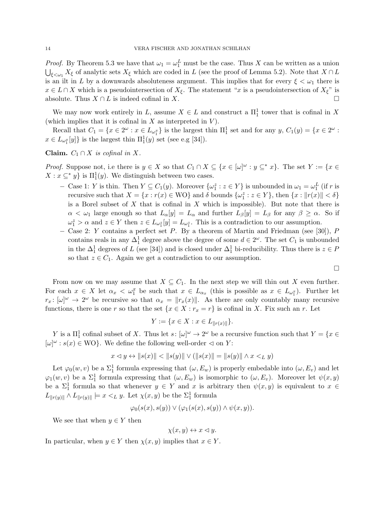*Proof.* By Theorem 5.3 we have that  $\omega_1 = \omega_1^L$  must be the case. Thus *X* can be written as a union  $\bigcup_{\xi \le \omega_1} X_{\xi}$  of analytic sets  $X_{\xi}$  which are coded in *L* (see the proof of Lemma 5.2). Note that  $X \cap L$ is an ilt in *L* by a downwards absoluteness argument. This implies that for every  $\xi < \omega_1$  there is  $x \in L \cap X$  which is a pseudointersection of  $X_{\xi}$ . The statement "*x* is a pseudointersection of  $X_{\xi}$ " is absolute. Thus  $X \cap L$  is indeed cofinal in  $X$ .

We may now work entirely in *L*, assume  $X \in L$  and construct a  $\Pi_1^1$  tower that is cofinal in X (which implies that it is cofinal in *X* as interpreted in *V* ).

Recall that  $C_1 = \{x \in 2^\omega : x \in L_{\omega_1^x}\}\$ is the largest thin  $\Pi_1^1$  set and for any  $y, C_1(y) = \{x \in 2^\omega : x \in L_{\omega_1^x}\}\$  $x \in L_{\omega_1^x}[y]$  is the largest thin  $\Pi_1^1(y)$  set (see e.g [34]).

**Claim.**  $C_1 \cap X$  *is cofinal in*  $X$ *.* 

*Proof.* Suppose not, i.e there is  $y \in X$  so that  $C_1 \cap X \subseteq \{x \in [\omega]^\omega : y \subseteq^* x\}$ . The set  $Y := \{x \in X\}$  $X: x \subseteq^* y$  is  $\Pi_1^1(y)$ . We distinguish between two cases.

- Case 1: *Y* is thin. Then  $Y \subseteq C_1(y)$ . Moreover  $\{\omega_1^z : z \in Y\}$  is unbounded in  $\omega_1 = \omega_1^L$  (if *r* is recursive such that  $X = \{x : r(x) \in \text{WO}\}\$  and  $\delta$  bounds  $\{\omega_1^z : z \in Y\}$ , then  $\{x : ||r(x)|| < \delta\}$ is a Borel subset of *X* that is cofinal in *X* which is impossible). But note that there is  $\alpha < \omega_1$  large enough so that  $L_\alpha[y] = L_\alpha$  and further  $L_\beta[y] = L_\beta$  for any  $\beta \geq \alpha$ . So if  $\omega_1^z > \alpha$  and  $z \in Y$  then  $z \in L_{\omega_1^z}[y] = L_{\omega_1^z}$ . This is a contradiction to our assumption.
- Case 2: *Y* contains a perfect set *P*. By a theorem of Martin and Friedman (see [30]), *P* contains reals in any  $\Delta_1^1$  degree above the degree of some  $d \in 2^\omega$ . The set  $C_1$  is unbounded in the  $\Delta_1^1$  degrees of *L* (see [34]) and is closed under  $\Delta_1^1$  bi-reducibility. Thus there is  $z \in P$ so that  $z \in C_1$ . Again we get a contradiction to our assumption.

$$
\Box
$$

From now on we may assume that  $X \subseteq C_1$ . In the next step we will thin out X even further. For each  $x \in X$  let  $\alpha_x < \omega_1^x$  be such that  $x \in L_{\alpha_x}$  (this is possible as  $x \in L_{\omega_1^x}$ ). Further let  $r_x$ :  $[\omega]^\omega \to 2^\omega$  be recursive so that  $\alpha_x = ||r_x(x)||$ . As there are only countably many recursive functions, there is one *r* so that the set  $\{x \in X : r_x = r\}$  is cofinal in *X*. Fix such an *r*. Let

$$
Y := \{ x \in X : x \in L_{\|r(x)\|} \}.
$$

*Y* is a  $\Pi_1^1$  cofinal subset of *X*. Thus let *s*:  $[\omega]^\omega \to 2^\omega$  be a recursive function such that  $Y = \{x \in$  $[\omega]^\omega : s(x) \in \text{WO}$ . We define the following well-order  $\triangleleft$  on *Y*:

$$
x \lhd y \leftrightarrow ||s(x)|| < ||s(y)|| \lor (||s(x)|| = ||s(y)|| \land x <_L y)
$$

Let  $\varphi_0(w, v)$  be a  $\Sigma_1^1$  formula expressing that  $(\omega, E_w)$  is properly embedable into  $(\omega, E_v)$  and let  $\varphi_1(w, v)$  be a  $\Sigma_1^1$  formula expressing that  $(\omega, E_w)$  is isomorphic to  $(\omega, E_v)$ . Moreover let  $\psi(x, y)$ be a  $\Sigma_1^1$  formula so that whenever  $y \in Y$  and  $x$  is arbitrary then  $\psi(x, y)$  is equivalent to  $x \in Y$  $L_{\Vert r(y)\Vert} \wedge L_{\Vert r(y)\Vert} \models x <_L y$ . Let  $\chi(x, y)$  be the  $\Sigma_1^1$  formula

$$
\varphi_0(s(x),s(y)) \vee (\varphi_1(s(x),s(y)) \wedge \psi(x,y)).
$$

We see that when  $y \in Y$  then

$$
\chi(x, y) \leftrightarrow x \lhd y.
$$

In particular, when  $y \in Y$  then  $\chi(x, y)$  implies that  $x \in Y$ .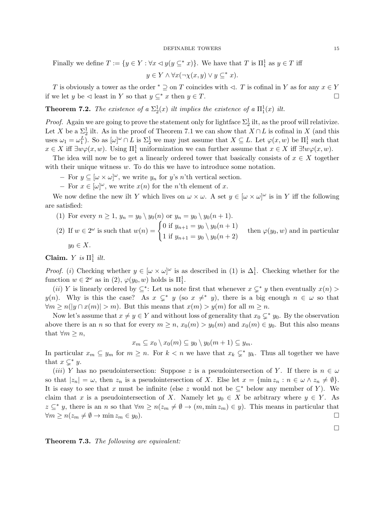Finally we define  $T := \{ y \in Y : \forall x \leq y (y \subseteq^* x) \}.$  We have that  $T$  is  $\Pi_1^1$  as  $y \in T$  iff

$$
y \in Y \land \forall x (\neg \chi(x, y) \lor y \subseteq^* x).
$$

*T* is obviously a tower as the order  $*\supseteq$  on *T* coincides with  $\triangleleft$ . *T* is cofinal in *Y* as for any  $x \in Y$  we let *u* be  $\triangleleft$  least in *Y* so that  $y \in x$  then  $y \in T$ . if we let *y* be  $\triangleleft$  least in *Y* so that  $y \subseteq^* x$  then  $y \in T$ .

**Theorem 7.2.** The existence of a  $\Sigma_2^1(x)$  ilt implies the existence of a  $\Pi_1^1(x)$  ilt.

*Proof.* Again we are going to prove the statement only for lightface  $\Sigma_2^1$  ilt, as the proof will relativize. Let *X* be a  $\Sigma^1_2$  ilt. As in the proof of Theorem 7.1 we can show that  $X \cap L$  is cofinal in *X* (and this uses  $\omega_1 = \omega_1^L$ ). So as  $[\omega]^\omega \cap L$  is  $\Sigma_2^1$  we may just assume that  $X \subseteq L$ . Let  $\varphi(x, w)$  be  $\Pi_1^1$  such that  $x \in X$  iff  $\exists w \varphi(x, w)$ . Using  $\Pi_1^1$  uniformization we can further assume that  $x \in X$  iff  $\exists! w \varphi(x, w)$ .

The idea will now be to get a linearly ordered tower that basically consists of  $x \in X$  together with their unique witness *w*. To do this we have to introduce some notation.

- $-$  For  $y \subseteq [\omega \times \omega]^{\omega}$ , we write  $y_n$  for  $y$ 's *n*'th vertical section.
- $-$  For  $x \in [\omega]^\omega$ , we write  $x(n)$  for the *n*'th element of *x*.

We now define the new ilt *Y* which lives on  $\omega \times \omega$ . A set  $y \in [\omega \times \omega]^{\omega}$  is in *Y* iff the following are satisfied:

\n- (1) For every 
$$
n \geq 1
$$
,  $y_n = y_0 \setminus y_0(n)$  or  $y_n = y_0 \setminus y_0(n+1)$ .
\n- (2) If  $w \in 2^{\omega}$  is such that  $w(n) = \begin{cases} 0 \text{ if } y_{n+1} = y_0 \setminus y_0(n+1) \\ 1 \text{ if } y_{n+1} = y_0 \setminus y_0(n+2) \end{cases}$  then  $\varphi(y_0, w)$  and in particular  $y_0 \in X$ .
\n

Claim. *Y is*  $\Pi_1^1$  *ilt.* 

*Proof.* (*i*) Checking whether  $y \in [\omega \times \omega]^{\omega}$  is as described in (1) is  $\Delta_1^1$ . Checking whether for the function  $w \in 2^{\omega}$  as in (2),  $\varphi(y_0, w)$  holds is  $\Pi_1^1$ .

(*ii*) *Y* is linearly ordered by  $\subseteq$ \*: Let us note first that whenever  $x \subseteq$ \* *y* then eventually  $x(n)$  > *y*(*n*). Why is this the case? As  $x \subsetneq^* y$  (so  $x \neq^* y$ ), there is a big enough  $n \in \omega$  so that  $\forall m \ge n(|y \cap x(m)| > m)$ . But this means that  $x(m) > y(m)$  for all  $m \ge n$ .

Now let's assume that  $x \neq y \in Y$  and without loss of generality that  $x_0 \subsetneq^* y_0$ . By the observation above there is an *n* so that for every  $m \ge n$ ,  $x_0(m) > y_0(m)$  and  $x_0(m) \in y_0$ . But this also means that  $\forall m \geq n$ ,

$$
x_m \subseteq x_0 \setminus x_0(m) \subseteq y_0 \setminus y_0(m+1) \subseteq y_m.
$$

In particular  $x_m \subseteq y_m$  for  $m \geq n$ . For  $k < n$  we have that  $x_k \subsetneq^* y_k$ . Thus all together we have that  $x \subsetneq^* y$ .

(*iii*) *Y* has no pseudointersection: Suppose *z* is a pseudointersection of *Y*. If there is  $n \in \omega$ so that  $|z_n| = \omega$ , then  $z_n$  is a pseudointersection of X. Else let  $x = \{\min z_n : n \in \omega \wedge z_n \neq \emptyset\}.$ It is easy to see that *x* must be infinite (else *z* would not be  $\subset^*$  below any member of *Y*). We claim that *x* is a pseudointersection of *X*. Namely let  $y_0 \in X$  be arbitrary where  $y \in Y$ . As  $z \subseteq^* y$ , there is an *n* so that  $\forall m \ge n (z_m \ne \emptyset \to (m, \min z_m) \in y)$ . This means in particular that  $\forall m \ge n (z_m \ne \emptyset \to \min z_m \in y_0)$ .  $\forall m \geq n (z_m \neq \emptyset \rightarrow \min z_m \in y_0).$ 

 $\Box$ 

Theorem 7.3. *The following are equivalent:*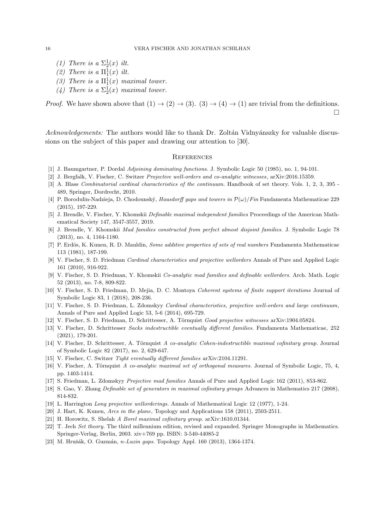- (1) There is a  $\Sigma_2^1(x)$  *ilt.*
- (2) There is a  $\Pi_1^1(x)$  ilt.
- (3) There is a  $\Pi_1^1(x)$  maximal tower.
- (4) There is a  $\Sigma_2^1(x)$  *maximal tower.*

*Proof.* We have shown above that  $(1) \rightarrow (2) \rightarrow (3)$ .  $(3) \rightarrow (4) \rightarrow (1)$  are trivial from the definitions.  $\Box$ 

*Acknowledgements:* The authors would like to thank Dr. Zoltán Vidnyánszky for valuable discussions on the subject of this paper and drawing our attention to [30].

### **REFERENCES**

- [1] J. Baumgartner, P. Dordal *Adjoining dominating functions.* J. Symbolic Logic 50 (1985), no. 1, 94-101.
- [2] J. Bergfalk, V. Fischer, C. Switzer *Projective well-orders and co-analytic witnesses*, arXiv:2016.15359.
- [3] A. Blass *Combinatorial cardinal characteristics of the continuum.* Handbook of set theory. Vols. 1, 2, 3, 395 489, Springer, Dordrecht, 2010.
- [4] P. Borodulin-Nadzieja, D. Chodounský, *Hausdorff gaps and towers in*  $\mathcal{P}(\omega)/Fin$  Fundamenta Mathematicae 229 (2015), 197-229.
- [5] J. Brendle, V. Fischer, Y. Khomskii *Definable maximal independent families* Proceedings of the American Mathematical Society 147, 3547-3557, 2019.
- [6] J. Brendle, Y. Khomskii *Mad families constructed from perfect almost disjoint families.* J. Symbolic Logic 78 (2013), no. 4, 1164-1180.
- [7] P. Erdös, K. Kunen, R. D. Mauldin, *Some additive properties of sets of real numbers* Fundamenta Mathematicae 113 (1981), 187-199.
- [8] V. Fischer, S. D. Friedman *Cardinal characteristics and projective wellorders* Annals of Pure and Applied Logic 161 (2010), 916-922.
- [9] V. Fischer, S. D. Friedman, Y. Khomskii *Co-analytic mad families and definable wellorders.* Arch. Math. Logic 52 (2013), no. 7-8, 809-822.
- [10] V. Fischer, S. D. Friedman, D. Mejia, D. C. Montoya *Coherent systems of finite support iterations* Journal of Symbolic Logic 83, 1 (2018), 208-236.
- [11] V. Fischer, S. D. Friedman, L. Zdomskyy *Cardinal characteristics, projective well-orders and large continuum*, Annals of Pure and Applied Logic 53, 5-6 (2014), 695-729.
- [12] V. Fischer, S. D. Friedman, D. Schrittesser, A. Törnquist *Good projective witnesses* arXiv:1904.05824.
- [13] V. Fischer, D. Schrittesser *Sacks indestructible eventually different families*. Fundamenta Mathematicae, 252 (2021), 179-201.
- [14] V. Fischer, D. Schrittesser, A. Törnquist *A co-analytic Cohen-indestructible maximal cofinitary group.* Journal of Symbolic Logic 82 (2017), no. 2, 629-647.
- [15] V. Fischer, C. Switzer *Tight eventually different families* arXiv:2104.11291.
- [16] V. Fischer, A. Törnquist *A co-analytic maximal set of orthogonal measures.* Journal of Symbolic Logic, 75, 4, pp. 1403-1414.
- [17] S. Friedman, L. Zdomskyy *Projective mad families* Annals of Pure and Applied Logic 162 (2011), 853-862.
- [18] S. Gao, Y. Zhang *Definable set of generators in maximal cofinitary groups* Advances in Mathematics 217 (2008), 814-832.
- [19] L. Harrington *Long projective wellorderings.* Annals of Mathematical Logic 12 (1977), 1-24.
- [20] J. Hart, K. Kunen, *Arcs in the plane*, Topology and Applications 158 (2011), 2503-2511.
- [21] H. Horowitz, S. Shelah *A Borel maximal cofinitary group.* arXiv:1610.01344.
- [22] T. Jech *Set theory.* The third millennium edition, revised and expanded. Springer Monographs in Mathematics. Springer-Verlag, Berlin, 2003. xiv+769 pp. ISBN: 3-540-44085-2
- [23] M. Hrušák, O. Guzmán, *n-Luzin gaps.* Topology Appl. 160 (2013), 1364-1374.